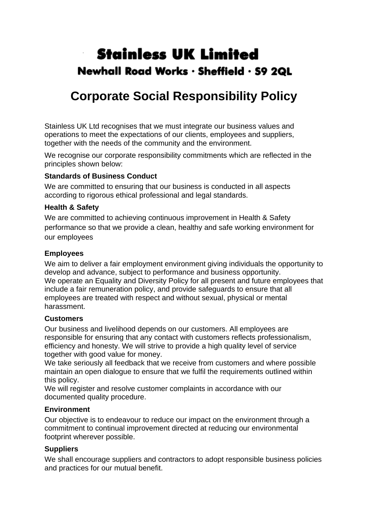# **Stainless UK Limited** Newhall Road Works · Sheffield · S9 2QL

## **Corporate Social Responsibility Policy**

Stainless UK Ltd recognises that we must integrate our business values and operations to meet the expectations of our clients, employees and suppliers, together with the needs of the community and the environment.

We recognise our corporate responsibility commitments which are reflected in the principles shown below:

## **Standards of Business Conduct**

We are committed to ensuring that our business is conducted in all aspects according to rigorous ethical professional and legal standards.

#### **Health & Safety**

We are committed to achieving continuous improvement in Health & Safety performance so that we provide a clean, healthy and safe working environment for our employees

#### **Employees**

We aim to deliver a fair employment environment giving individuals the opportunity to develop and advance, subject to performance and business opportunity. We operate an Equality and Diversity Policy for all present and future employees that include a fair remuneration policy, and provide safeguards to ensure that all employees are treated with respect and without sexual, physical or mental harassment.

## **Customers**

Our business and livelihood depends on our customers. All employees are responsible for ensuring that any contact with customers reflects professionalism, efficiency and honesty. We will strive to provide a high quality level of service together with good value for money.

We take seriously all feedback that we receive from customers and where possible maintain an open dialogue to ensure that we fulfil the requirements outlined within this policy.

We will register and resolve customer complaints in accordance with our documented quality procedure.

#### **Environment**

Our objective is to endeavour to reduce our impact on the environment through a commitment to continual improvement directed at reducing our environmental footprint wherever possible.

## **Suppliers**

We shall encourage suppliers and contractors to adopt responsible business policies and practices for our mutual benefit.